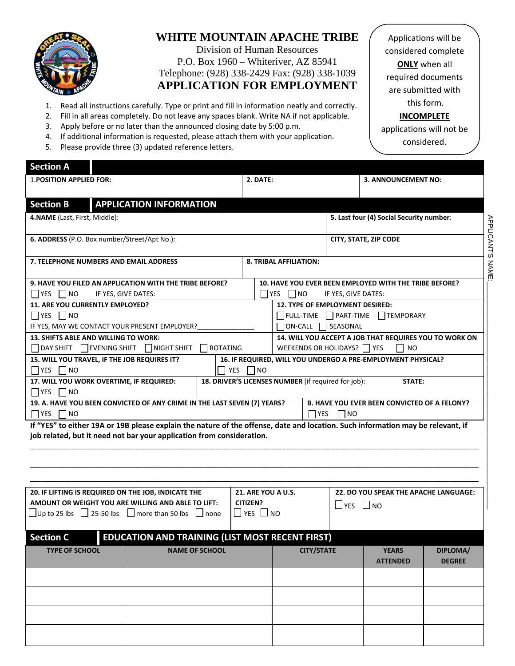

# **WHITE MOUNTAIN APACHE TRIBE**

Division of Human Resources P.O. Box 1960 – Whiteriver, AZ 85941 Telephone: (928) 338-2429 Fax: (928) 338-1039 **APPLICATION FOR EMPLOYMENT**

- 1. Read all instructions carefully. Type or print and fill in information neatly and correctly.
- 2. Fill in all areas completely. Do not leave any spaces blank. Write NA if not applicable.
- 3. Apply before or no later than the announced closing date by 5:00 p.m.

applications will not be 4. If additional information is requested, please attach them with your application. considered.5. Please provide three (3) updated reference letters. **Section A** 1.**POSITION APPLIED FOR: 2. DATE: 3. ANNOUNCEMENT NO: Section B APPLICATION INFORMATION 4.NAME** (Last, First, Middle): **5. Last four (4) Social Security number**: **APPLICANT'S NAME** APPLICANT'S NAME:\_\_\_\_\_\_\_\_\_\_\_\_\_\_\_\_\_\_\_\_\_\_\_\_\_\_\_\_\_\_\_\_\_\_\_\_\_\_\_\_\_\_\_\_\_\_\_\_\_\_\_\_\_\_\_\_\_\_\_\_\_ **6. ADDRESS** (P.O. Box number/Street/Apt No.): **CITY, STATE, ZIP CODE 7. TELEPHONE NUMBERS AND EMAIL ADDRESS 8. TRIBAL AFFILIATION: 9. HAVE YOU FILED AN APPLICATION WITH THE TRIBE BEFORE? 10. HAVE YOU EVER BEEN EMPLOYED WITH THE TRIBE BEFORE?**  $\Box$  YES  $\Box$  NO IF YES, GIVE DATES:  $\Box$  YES  $\Box$  NO IF YES, GIVE DATES: **11. ARE YOU CURRENTLY EMPLOYED? 12. TYPE OF EMPLOYMENT DESIRED:**  $\Box$  YES  $\Box$  NO  $\Box$ FULL-TIME  $\Box$ PART-TIME  $\Box$ TEMPORARY IF YES, MAY WE CONTACT YOUR PRESENT EMPLOYER?  $\Box$  ON-CALL  $\Box$  SEASONAL **13. SHIFTS ABLE AND WILLING TO WORK: 14. WILL YOU ACCEPT A JOB THAT REQUIRES YOU TO WORK ON**  $\Box$  DAY SHIFT  $\Box$  EVENING SHIFT  $\Box$  NIGHT SHIFT  $\Box$  ROTATING WEEKENDS OR HOLIDAYS?  $\Box$  YES  $\Box$  NO **15. WILL YOU TRAVEL, IF THE JOB REQUIRES IT? 16. IF REQUIRED, WILL YOU UNDERGO A PRE‐EMPLOYMENT PHYSICAL?**  $\Box$  YES  $\Box$  NO  $\Box$  YES  $\Box$  NO **17. WILL YOU WORK OVERTIME, IF REQUIRED: 18. DRIVER'S LICENSES NUMBER** (if required for job): **STATE:**  $\Box$ YES  $\Box$ NO **19. A. HAVE YOU BEEN CONVICTED OF ANY CRIME IN THE LAST SEVEN (7) YEARS? B. HAVE YOU EVER BEEN CONVICTED OF A FELONY?**  $\Box$ YES  $\Box$ NO  $\Box$  YES  $\Box$  NO If "YES" to either 19A or 19B please explain the nature of the offense, date and location. Such information may be relevant, if **job related, but it need not bar your application from consideration.** \_\_\_\_\_\_\_\_\_\_\_\_\_\_\_\_\_\_\_\_\_\_\_\_\_\_\_\_\_\_\_\_\_\_\_\_\_\_\_\_\_\_\_\_\_\_\_\_\_\_\_\_\_\_\_\_\_\_\_\_\_\_\_\_\_\_\_\_\_\_\_\_\_\_\_\_\_\_\_\_\_\_\_\_\_\_\_\_\_\_\_\_\_\_\_\_\_\_\_\_\_\_\_\_\_\_\_\_\_\_\_\_\_\_\_\_\_\_\_

| 20. IF LIFTING IS REQUIRED ON THE JOB, INDICATE THE<br>AMOUNT OR WEIGHT YOU ARE WILLING AND ABLE TO LIFT:<br>$\Box$ Up to 25 lbs $\Box$ 25-50 lbs $\Box$ more than 50 lbs $\Box$ none | <b>21. ARE YOU A U.S.</b><br>CITIZEN?<br>$\Box$ YES $\Box$ NO |  |  | <b>22. DO YOU SPEAK THE APACHE LANGUAGE:</b><br>$\Box$ YES $\Box$ NO |                 |               |  |  |
|---------------------------------------------------------------------------------------------------------------------------------------------------------------------------------------|---------------------------------------------------------------|--|--|----------------------------------------------------------------------|-----------------|---------------|--|--|
| <b>EDUCATION AND TRAINING (LIST MOST RECENT FIRST)</b><br><b>Section C</b>                                                                                                            |                                                               |  |  |                                                                      |                 |               |  |  |
| <b>TYPE OF SCHOOL</b>                                                                                                                                                                 | <b>NAME OF SCHOOL</b>                                         |  |  | <b>CITY/STATE</b>                                                    |                 | DIPLOMA/      |  |  |
|                                                                                                                                                                                       |                                                               |  |  |                                                                      | <b>ATTENDED</b> | <b>DEGREE</b> |  |  |
|                                                                                                                                                                                       |                                                               |  |  |                                                                      |                 |               |  |  |
|                                                                                                                                                                                       |                                                               |  |  |                                                                      |                 |               |  |  |
|                                                                                                                                                                                       |                                                               |  |  |                                                                      |                 |               |  |  |
|                                                                                                                                                                                       |                                                               |  |  |                                                                      |                 |               |  |  |

\_\_\_\_\_\_\_\_\_\_\_\_\_\_\_\_\_\_\_\_\_\_\_\_\_\_\_\_\_\_\_\_\_\_\_\_\_\_\_\_\_\_\_\_\_\_\_\_\_\_\_\_\_\_\_\_\_\_\_\_\_\_\_\_\_\_\_\_\_\_\_\_\_\_\_\_\_\_\_\_\_\_\_\_\_\_\_\_\_\_\_\_\_\_\_\_\_\_\_\_\_\_\_\_\_\_\_\_\_\_\_\_\_\_\_\_\_\_\_

considered complete **ONLY** when all required documents are submitted with this form. **INCOMPLETE**

Applications will be